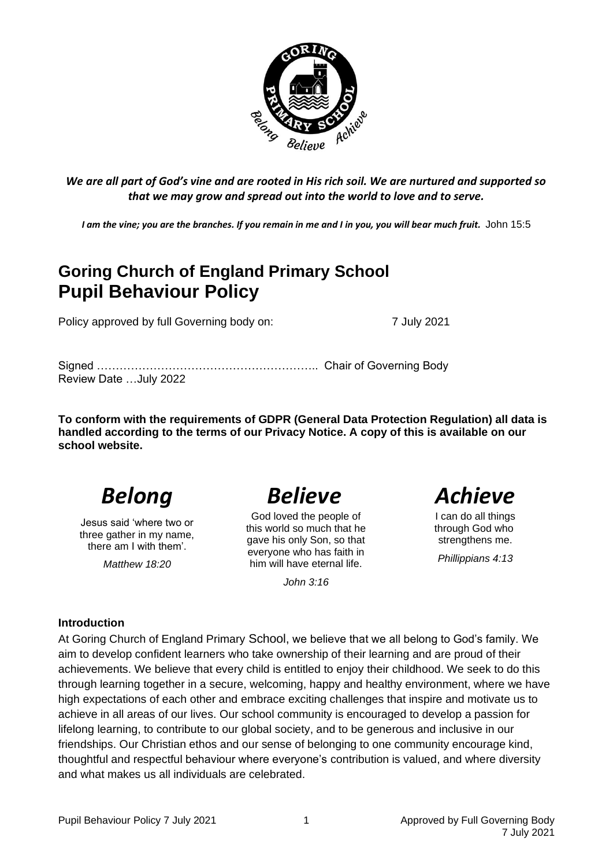

*We are all part of God's vine and are rooted in His rich soil. We are nurtured and supported so that we may grow and spread out into the world to love and to serve.*

*I am the vine; you are the branches. If you remain in me and I in you, you will bear much fruit.* John 15:5

# **Goring Church of England Primary School Pupil Behaviour Policy**

Policy approved by full Governing body on: 7 July 2021

Signed ………………………………………………….. Chair of Governing Body Review Date …July 2022

**To conform with the requirements of GDPR (General Data Protection Regulation) all data is handled according to the terms of our Privacy Notice. A copy of this is available on our school website.** 

Jesus said 'where two or three gather in my name, there am I with them'.

*Matthew 18:20*

God loved the people of this world so much that he gave his only Son, so that everyone who has faith in him will have eternal life.

*John 3:16*



I can do all things through God who strengthens me.

*Phillippians 4:13*

#### **Introduction**

At Goring Church of England Primary School, we believe that we all belong to God's family. We aim to develop confident learners who take ownership of their learning and are proud of their achievements. We believe that every child is entitled to enjoy their childhood. We seek to do this through learning together in a secure, welcoming, happy and healthy environment, where we have high expectations of each other and embrace exciting challenges that inspire and motivate us to achieve in all areas of our lives. Our school community is encouraged to develop a passion for lifelong learning, to contribute to our global society, and to be generous and inclusive in our friendships. Our Christian ethos and our sense of belonging to one community encourage kind, thoughtful and respectful behaviour where everyone's contribution is valued, and where diversity and what makes us all individuals are celebrated.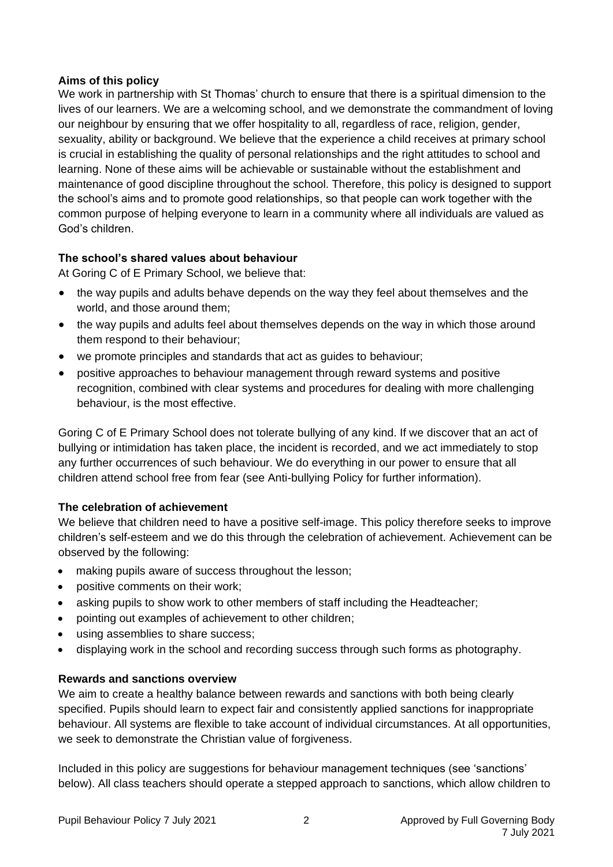#### **Aims of this policy**

We work in partnership with St Thomas' church to ensure that there is a spiritual dimension to the lives of our learners. We are a welcoming school, and we demonstrate the commandment of loving our neighbour by ensuring that we offer hospitality to all, regardless of race, religion, gender, sexuality, ability or background. We believe that the experience a child receives at primary school is crucial in establishing the quality of personal relationships and the right attitudes to school and learning. None of these aims will be achievable or sustainable without the establishment and maintenance of good discipline throughout the school. Therefore, this policy is designed to support the school's aims and to promote good relationships, so that people can work together with the common purpose of helping everyone to learn in a community where all individuals are valued as God's children.

### **The school's shared values about behaviour**

At Goring C of E Primary School, we believe that:

- the way pupils and adults behave depends on the way they feel about themselves and the world, and those around them;
- the way pupils and adults feel about themselves depends on the way in which those around them respond to their behaviour;
- we promote principles and standards that act as guides to behaviour;
- positive approaches to behaviour management through reward systems and positive recognition, combined with clear systems and procedures for dealing with more challenging behaviour, is the most effective.

Goring C of E Primary School does not tolerate bullying of any kind. If we discover that an act of bullying or intimidation has taken place, the incident is recorded, and we act immediately to stop any further occurrences of such behaviour. We do everything in our power to ensure that all children attend school free from fear (see Anti-bullying Policy for further information).

#### **The celebration of achievement**

We believe that children need to have a positive self-image. This policy therefore seeks to improve children's self-esteem and we do this through the celebration of achievement. Achievement can be observed by the following:

- making pupils aware of success throughout the lesson;
- positive comments on their work;
- asking pupils to show work to other members of staff including the Headteacher;
- pointing out examples of achievement to other children;
- using assemblies to share success;
- displaying work in the school and recording success through such forms as photography.

#### **Rewards and sanctions overview**

We aim to create a healthy balance between rewards and sanctions with both being clearly specified. Pupils should learn to expect fair and consistently applied sanctions for inappropriate behaviour. All systems are flexible to take account of individual circumstances. At all opportunities, we seek to demonstrate the Christian value of forgiveness.

Included in this policy are suggestions for behaviour management techniques (see 'sanctions' below). All class teachers should operate a stepped approach to sanctions, which allow children to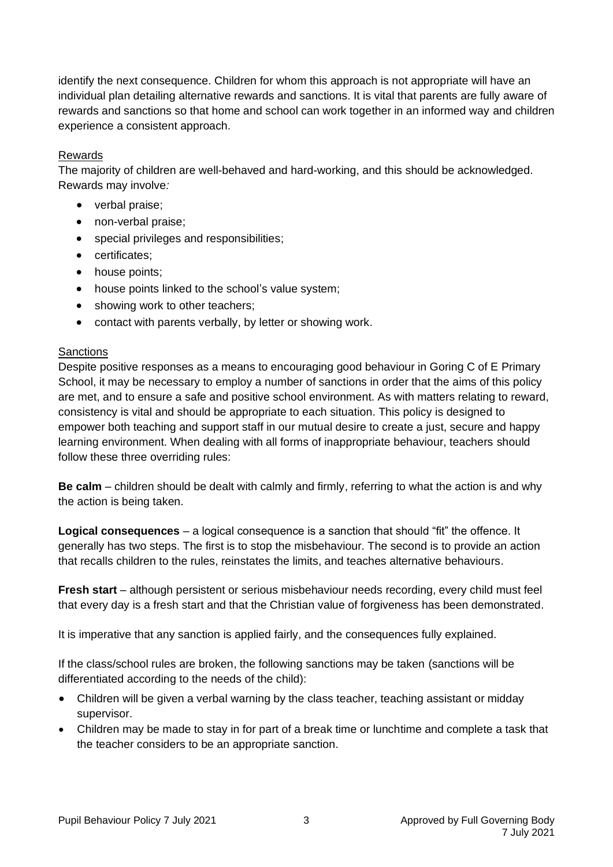identify the next consequence. Children for whom this approach is not appropriate will have an individual plan detailing alternative rewards and sanctions. It is vital that parents are fully aware of rewards and sanctions so that home and school can work together in an informed way and children experience a consistent approach.

#### Rewards

The majority of children are well-behaved and hard-working, and this should be acknowledged. Rewards may involve*:*

- verbal praise;
- non-verbal praise:
- special privileges and responsibilities;
- certificates;
- house points;
- house points linked to the school's value system;
- showing work to other teachers;
- contact with parents verbally, by letter or showing work.

#### **Sanctions**

Despite positive responses as a means to encouraging good behaviour in Goring C of E Primary School, it may be necessary to employ a number of sanctions in order that the aims of this policy are met, and to ensure a safe and positive school environment. As with matters relating to reward, consistency is vital and should be appropriate to each situation. This policy is designed to empower both teaching and support staff in our mutual desire to create a just, secure and happy learning environment. When dealing with all forms of inappropriate behaviour, teachers should follow these three overriding rules:

**Be calm** – children should be dealt with calmly and firmly, referring to what the action is and why the action is being taken.

**Logical consequences** – a logical consequence is a sanction that should "fit" the offence. It generally has two steps. The first is to stop the misbehaviour. The second is to provide an action that recalls children to the rules, reinstates the limits, and teaches alternative behaviours.

**Fresh start** – although persistent or serious misbehaviour needs recording, every child must feel that every day is a fresh start and that the Christian value of forgiveness has been demonstrated.

It is imperative that any sanction is applied fairly, and the consequences fully explained.

If the class/school rules are broken, the following sanctions may be taken (sanctions will be differentiated according to the needs of the child):

- Children will be given a verbal warning by the class teacher, teaching assistant or midday supervisor.
- Children may be made to stay in for part of a break time or lunchtime and complete a task that the teacher considers to be an appropriate sanction.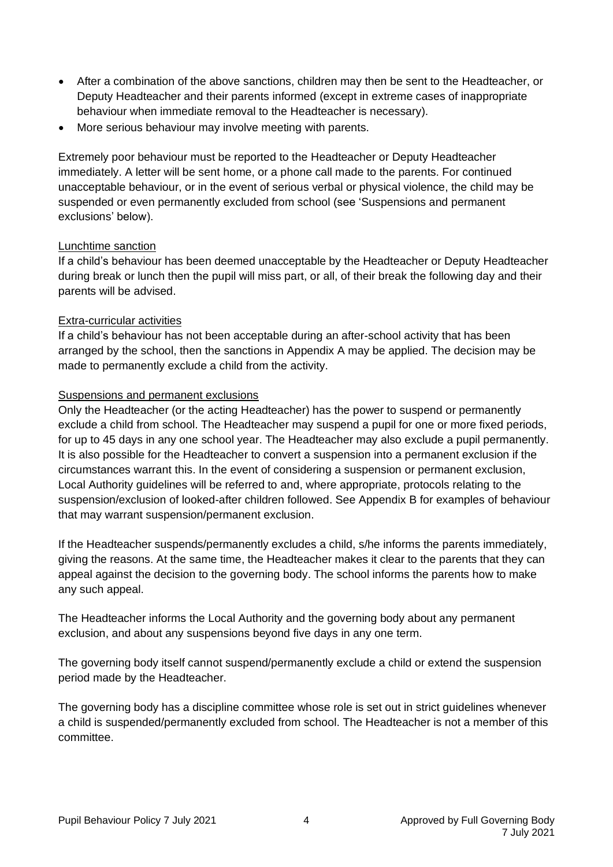- After a combination of the above sanctions, children may then be sent to the Headteacher, or Deputy Headteacher and their parents informed (except in extreme cases of inappropriate behaviour when immediate removal to the Headteacher is necessary).
- More serious behaviour may involve meeting with parents.

Extremely poor behaviour must be reported to the Headteacher or Deputy Headteacher immediately. A letter will be sent home, or a phone call made to the parents. For continued unacceptable behaviour, or in the event of serious verbal or physical violence, the child may be suspended or even permanently excluded from school (see 'Suspensions and permanent exclusions' below).

#### Lunchtime sanction

If a child's behaviour has been deemed unacceptable by the Headteacher or Deputy Headteacher during break or lunch then the pupil will miss part, or all, of their break the following day and their parents will be advised.

#### Extra-curricular activities

If a child's behaviour has not been acceptable during an after-school activity that has been arranged by the school, then the sanctions in Appendix A may be applied. The decision may be made to permanently exclude a child from the activity.

#### Suspensions and permanent exclusions

Only the Headteacher (or the acting Headteacher) has the power to suspend or permanently exclude a child from school. The Headteacher may suspend a pupil for one or more fixed periods, for up to 45 days in any one school year. The Headteacher may also exclude a pupil permanently. It is also possible for the Headteacher to convert a suspension into a permanent exclusion if the circumstances warrant this. In the event of considering a suspension or permanent exclusion, Local Authority guidelines will be referred to and, where appropriate, protocols relating to the suspension/exclusion of looked-after children followed. See Appendix B for examples of behaviour that may warrant suspension/permanent exclusion.

If the Headteacher suspends/permanently excludes a child, s/he informs the parents immediately, giving the reasons. At the same time, the Headteacher makes it clear to the parents that they can appeal against the decision to the governing body. The school informs the parents how to make any such appeal.

The Headteacher informs the Local Authority and the governing body about any permanent exclusion, and about any suspensions beyond five days in any one term.

The governing body itself cannot suspend/permanently exclude a child or extend the suspension period made by the Headteacher.

The governing body has a discipline committee whose role is set out in strict guidelines whenever a child is suspended/permanently excluded from school. The Headteacher is not a member of this committee.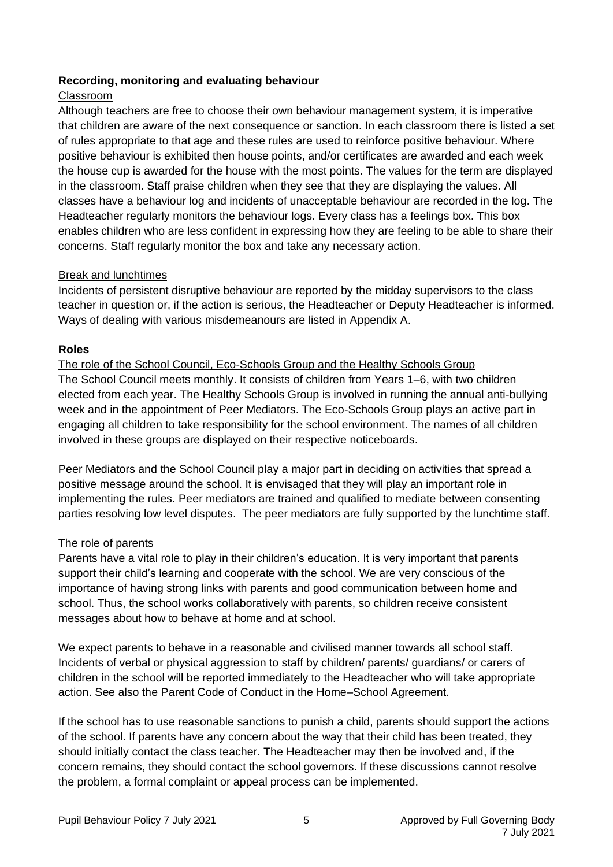#### **Recording, monitoring and evaluating behaviour**

#### Classroom

Although teachers are free to choose their own behaviour management system, it is imperative that children are aware of the next consequence or sanction. In each classroom there is listed a set of rules appropriate to that age and these rules are used to reinforce positive behaviour. Where positive behaviour is exhibited then house points, and/or certificates are awarded and each week the house cup is awarded for the house with the most points. The values for the term are displayed in the classroom. Staff praise children when they see that they are displaying the values. All classes have a behaviour log and incidents of unacceptable behaviour are recorded in the log. The Headteacher regularly monitors the behaviour logs. Every class has a feelings box. This box enables children who are less confident in expressing how they are feeling to be able to share their concerns. Staff regularly monitor the box and take any necessary action.

#### Break and lunchtimes

Incidents of persistent disruptive behaviour are reported by the midday supervisors to the class teacher in question or, if the action is serious, the Headteacher or Deputy Headteacher is informed. Ways of dealing with various misdemeanours are listed in Appendix A.

#### **Roles**

The role of the School Council, Eco-Schools Group and the Healthy Schools Group The School Council meets monthly. It consists of children from Years 1–6, with two children elected from each year. The Healthy Schools Group is involved in running the annual anti-bullying week and in the appointment of Peer Mediators. The Eco-Schools Group plays an active part in engaging all children to take responsibility for the school environment. The names of all children involved in these groups are displayed on their respective noticeboards.

Peer Mediators and the School Council play a major part in deciding on activities that spread a positive message around the school. It is envisaged that they will play an important role in implementing the rules. Peer mediators are trained and qualified to mediate between consenting parties resolving low level disputes.The peer mediators are fully supported by the lunchtime staff.

#### The role of parents

Parents have a vital role to play in their children's education. It is very important that parents support their child's learning and cooperate with the school. We are very conscious of the importance of having strong links with parents and good communication between home and school. Thus, the school works collaboratively with parents, so children receive consistent messages about how to behave at home and at school.

We expect parents to behave in a reasonable and civilised manner towards all school staff. Incidents of verbal or physical aggression to staff by children/ parents/ guardians/ or carers of children in the school will be reported immediately to the Headteacher who will take appropriate action. See also the Parent Code of Conduct in the Home–School Agreement.

If the school has to use reasonable sanctions to punish a child, parents should support the actions of the school. If parents have any concern about the way that their child has been treated, they should initially contact the class teacher. The Headteacher may then be involved and, if the concern remains, they should contact the school governors. If these discussions cannot resolve the problem, a formal complaint or appeal process can be implemented.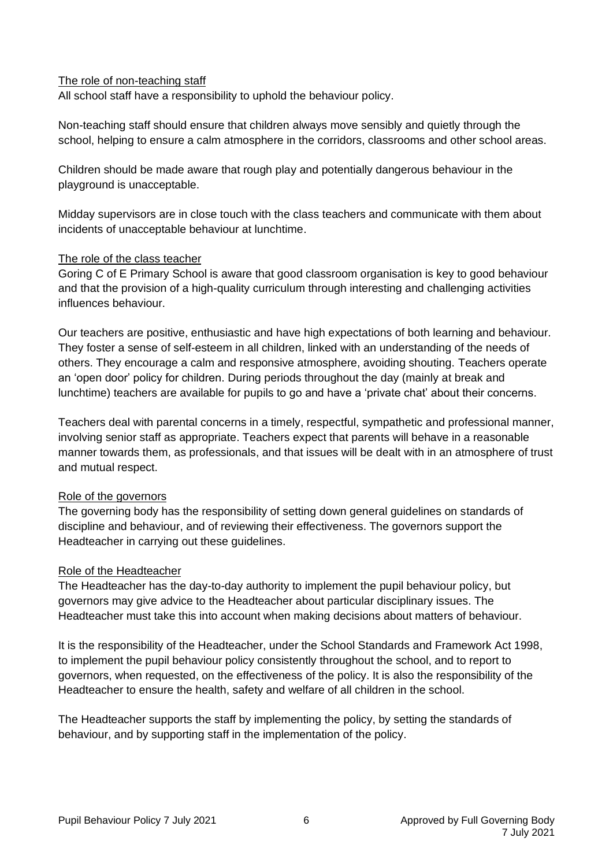#### The role of non-teaching staff

All school staff have a responsibility to uphold the behaviour policy.

Non-teaching staff should ensure that children always move sensibly and quietly through the school, helping to ensure a calm atmosphere in the corridors, classrooms and other school areas.

Children should be made aware that rough play and potentially dangerous behaviour in the playground is unacceptable.

Midday supervisors are in close touch with the class teachers and communicate with them about incidents of unacceptable behaviour at lunchtime.

#### The role of the class teacher

Goring C of E Primary School is aware that good classroom organisation is key to good behaviour and that the provision of a high-quality curriculum through interesting and challenging activities influences behaviour.

Our teachers are positive, enthusiastic and have high expectations of both learning and behaviour. They foster a sense of self-esteem in all children, linked with an understanding of the needs of others. They encourage a calm and responsive atmosphere, avoiding shouting. Teachers operate an 'open door' policy for children. During periods throughout the day (mainly at break and lunchtime) teachers are available for pupils to go and have a 'private chat' about their concerns.

Teachers deal with parental concerns in a timely, respectful, sympathetic and professional manner, involving senior staff as appropriate. Teachers expect that parents will behave in a reasonable manner towards them, as professionals, and that issues will be dealt with in an atmosphere of trust and mutual respect.

#### Role of the governors

The governing body has the responsibility of setting down general guidelines on standards of discipline and behaviour, and of reviewing their effectiveness. The governors support the Headteacher in carrying out these guidelines.

#### Role of the Headteacher

The Headteacher has the day-to-day authority to implement the pupil behaviour policy, but governors may give advice to the Headteacher about particular disciplinary issues. The Headteacher must take this into account when making decisions about matters of behaviour.

It is the responsibility of the Headteacher, under the School Standards and Framework Act 1998, to implement the pupil behaviour policy consistently throughout the school, and to report to governors, when requested, on the effectiveness of the policy. It is also the responsibility of the Headteacher to ensure the health, safety and welfare of all children in the school.

The Headteacher supports the staff by implementing the policy, by setting the standards of behaviour, and by supporting staff in the implementation of the policy.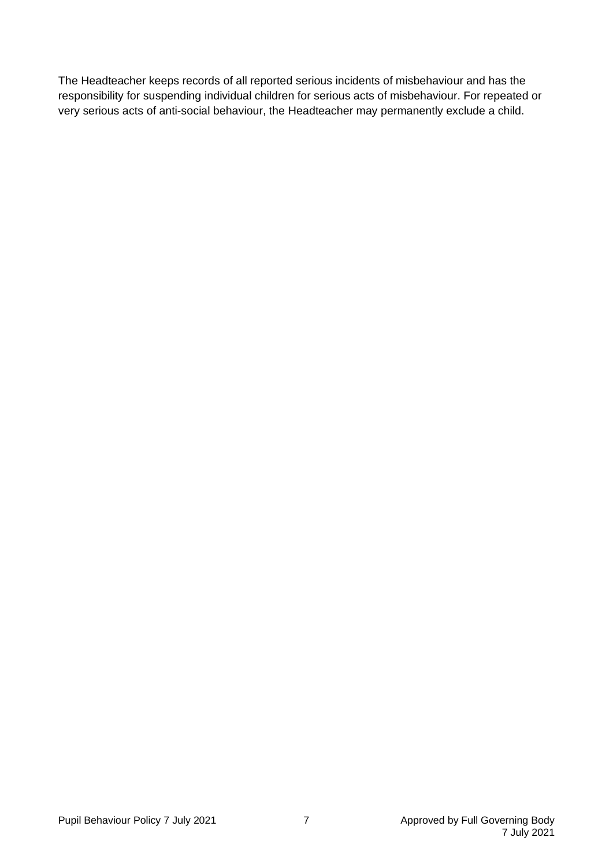The Headteacher keeps records of all reported serious incidents of misbehaviour and has the responsibility for suspending individual children for serious acts of misbehaviour. For repeated or very serious acts of anti-social behaviour, the Headteacher may permanently exclude a child.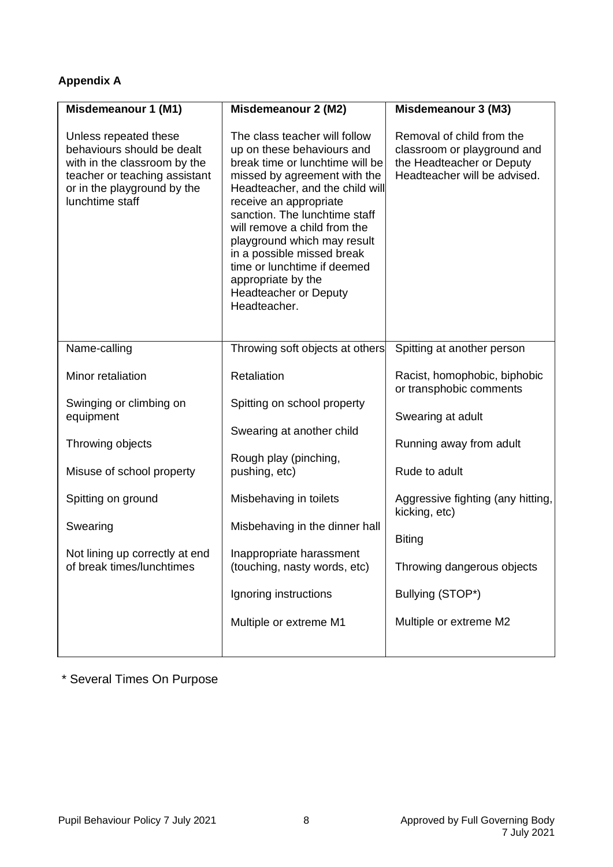# **Appendix A**

| Misdemeanour 1 (M1)                                                                                                                                                    | Misdemeanour 2 (M2)                                                                                                                                                                                                                                                                                                                                                                                                            | Misdemeanour 3 (M3)                                                                                                   |
|------------------------------------------------------------------------------------------------------------------------------------------------------------------------|--------------------------------------------------------------------------------------------------------------------------------------------------------------------------------------------------------------------------------------------------------------------------------------------------------------------------------------------------------------------------------------------------------------------------------|-----------------------------------------------------------------------------------------------------------------------|
| Unless repeated these<br>behaviours should be dealt<br>with in the classroom by the<br>teacher or teaching assistant<br>or in the playground by the<br>lunchtime staff | The class teacher will follow<br>up on these behaviours and<br>break time or lunchtime will be<br>missed by agreement with the<br>Headteacher, and the child will<br>receive an appropriate<br>sanction. The lunchtime staff<br>will remove a child from the<br>playground which may result<br>in a possible missed break<br>time or lunchtime if deemed<br>appropriate by the<br><b>Headteacher or Deputy</b><br>Headteacher. | Removal of child from the<br>classroom or playground and<br>the Headteacher or Deputy<br>Headteacher will be advised. |
| Name-calling                                                                                                                                                           | Throwing soft objects at others                                                                                                                                                                                                                                                                                                                                                                                                | Spitting at another person                                                                                            |
| Minor retaliation                                                                                                                                                      | Retaliation                                                                                                                                                                                                                                                                                                                                                                                                                    | Racist, homophobic, biphobic<br>or transphobic comments                                                               |
| Swinging or climbing on<br>equipment                                                                                                                                   | Spitting on school property                                                                                                                                                                                                                                                                                                                                                                                                    | Swearing at adult                                                                                                     |
| Throwing objects                                                                                                                                                       | Swearing at another child                                                                                                                                                                                                                                                                                                                                                                                                      | Running away from adult                                                                                               |
| Misuse of school property                                                                                                                                              | Rough play (pinching,<br>pushing, etc)                                                                                                                                                                                                                                                                                                                                                                                         | Rude to adult                                                                                                         |
| Spitting on ground                                                                                                                                                     | Misbehaving in toilets                                                                                                                                                                                                                                                                                                                                                                                                         | Aggressive fighting (any hitting,<br>kicking, etc)                                                                    |
| Swearing                                                                                                                                                               | Misbehaving in the dinner hall                                                                                                                                                                                                                                                                                                                                                                                                 | <b>Biting</b>                                                                                                         |
| Not lining up correctly at end<br>of break times/lunchtimes                                                                                                            | Inappropriate harassment<br>(touching, nasty words, etc)                                                                                                                                                                                                                                                                                                                                                                       | Throwing dangerous objects                                                                                            |
|                                                                                                                                                                        | Ignoring instructions                                                                                                                                                                                                                                                                                                                                                                                                          | Bullying (STOP*)                                                                                                      |
|                                                                                                                                                                        | Multiple or extreme M1                                                                                                                                                                                                                                                                                                                                                                                                         | Multiple or extreme M2                                                                                                |
|                                                                                                                                                                        |                                                                                                                                                                                                                                                                                                                                                                                                                                |                                                                                                                       |

# \* Several Times On Purpose